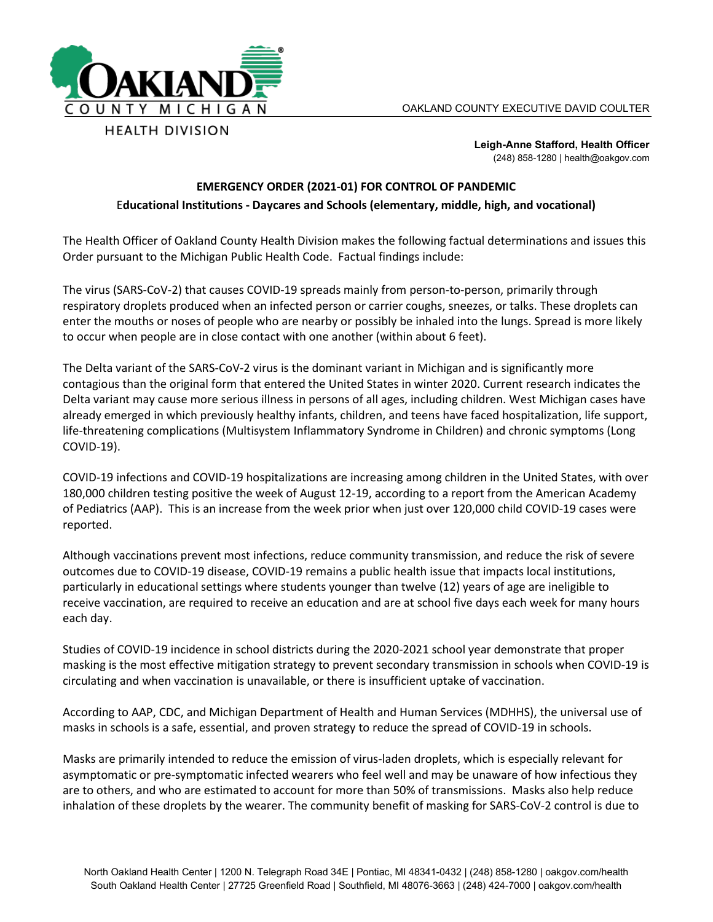

**Leigh-Anne Stafford, Health Officer** (248) 858-1280 | health@oakgov.com

## **EMERGENCY ORDER (2021-01) FOR CONTROL OF PANDEMIC** E**ducational Institutions - Daycares and Schools (elementary, middle, high, and vocational)**

The Health Officer of Oakland County Health Division makes the following factual determinations and issues this Order pursuant to the Michigan Public Health Code. Factual findings include:

The virus (SARS-CoV-2) that causes COVID-19 spreads mainly from person-to-person, primarily through respiratory droplets produced when an infected person or carrier coughs, sneezes, or talks. These droplets can enter the mouths or noses of people who are nearby or possibly be inhaled into the lungs. Spread is more likely to occur when people are in close contact with one another (within about 6 feet).

The Delta variant of the SARS-CoV-2 virus is the dominant variant in Michigan and is significantly more contagious than the original form that entered the United States in winter 2020. Current research indicates the Delta variant may cause more serious illness in persons of all ages, including children. West Michigan cases have already emerged in which previously healthy infants, children, and teens have faced hospitalization, life support, life-threatening complications (Multisystem Inflammatory Syndrome in Children) and chronic symptoms (Long COVID-19).

COVID-19 infections and COVID-19 hospitalizations are increasing among children in the United States, with over 180,000 children testing positive the week of August 12-19, according to a report from the American Academy of Pediatrics (AAP). This is an increase from the week prior when just over 120,000 child COVID-19 cases were reported.

Although vaccinations prevent most infections, reduce community transmission, and reduce the risk of severe outcomes due to COVID-19 disease, COVID-19 remains a public health issue that impacts local institutions, particularly in educational settings where students younger than twelve (12) years of age are ineligible to receive vaccination, are required to receive an education and are at school five days each week for many hours each day.

Studies of COVID-19 incidence in school districts during the 2020-2021 school year demonstrate that proper masking is the most effective mitigation strategy to prevent secondary transmission in schools when COVID-19 is circulating and when vaccination is unavailable, or there is insufficient uptake of vaccination.

According to AAP, CDC, and Michigan Department of Health and Human Services (MDHHS), the universal use of masks in schools is a safe, essential, and proven strategy to reduce the spread of COVID-19 in schools.

Masks are primarily intended to reduce the emission of virus-laden droplets, which is especially relevant for asymptomatic or pre-symptomatic infected wearers who feel well and may be unaware of how infectious they are to others, and who are estimated to account for more than 50% of transmissions. Masks also help reduce inhalation of these droplets by the wearer. The community benefit of masking for SARS-CoV-2 control is due to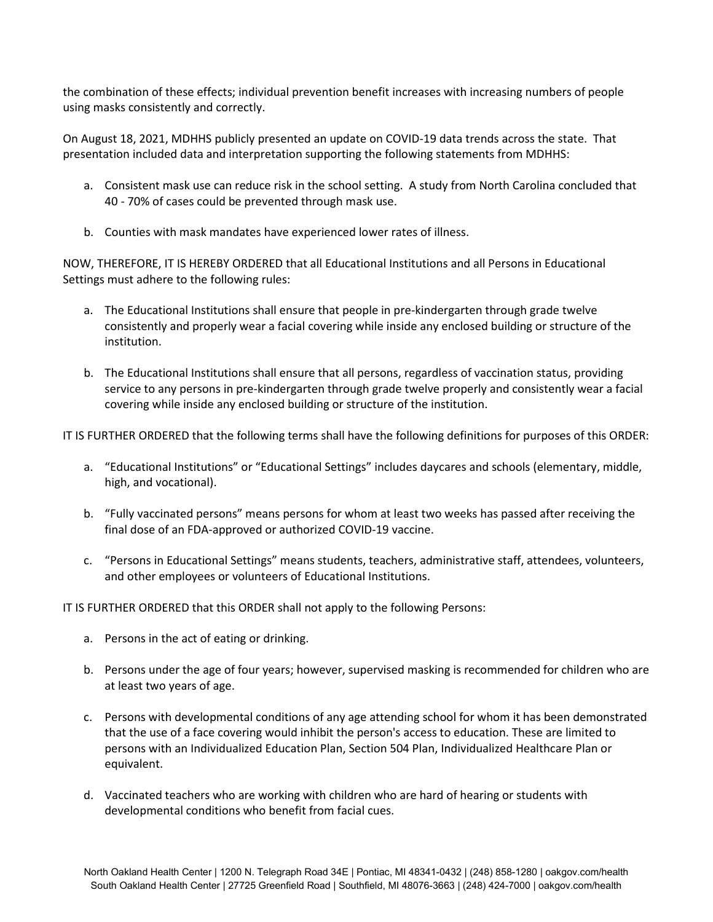the combination of these effects; individual prevention benefit increases with increasing numbers of people using masks consistently and correctly.

On August 18, 2021, MDHHS publicly presented an update on COVID-19 data trends across the state. That presentation included data and interpretation supporting the following statements from MDHHS:

- a. Consistent mask use can reduce risk in the school setting. A study from North Carolina concluded that 40 - 70% of cases could be prevented through mask use.
- b. Counties with mask mandates have experienced lower rates of illness.

NOW, THEREFORE, IT IS HEREBY ORDERED that all Educational Institutions and all Persons in Educational Settings must adhere to the following rules:

- a. The Educational Institutions shall ensure that people in pre-kindergarten through grade twelve consistently and properly wear a facial covering while inside any enclosed building or structure of the institution.
- b. The Educational Institutions shall ensure that all persons, regardless of vaccination status, providing service to any persons in pre-kindergarten through grade twelve properly and consistently wear a facial covering while inside any enclosed building or structure of the institution.

IT IS FURTHER ORDERED that the following terms shall have the following definitions for purposes of this ORDER:

- a. "Educational Institutions" or "Educational Settings" includes daycares and schools (elementary, middle, high, and vocational).
- b. "Fully vaccinated persons" means persons for whom at least two weeks has passed after receiving the final dose of an FDA-approved or authorized COVID-19 vaccine.
- c. "Persons in Educational Settings" means students, teachers, administrative staff, attendees, volunteers, and other employees or volunteers of Educational Institutions.

IT IS FURTHER ORDERED that this ORDER shall not apply to the following Persons:

- a. Persons in the act of eating or drinking.
- b. Persons under the age of four years; however, supervised masking is recommended for children who are at least two years of age.
- c. Persons with developmental conditions of any age attending school for whom it has been demonstrated that the use of a face covering would inhibit the person's access to education. These are limited to persons with an Individualized Education Plan, Section 504 Plan, Individualized Healthcare Plan or equivalent.
- d. Vaccinated teachers who are working with children who are hard of hearing or students with developmental conditions who benefit from facial cues.